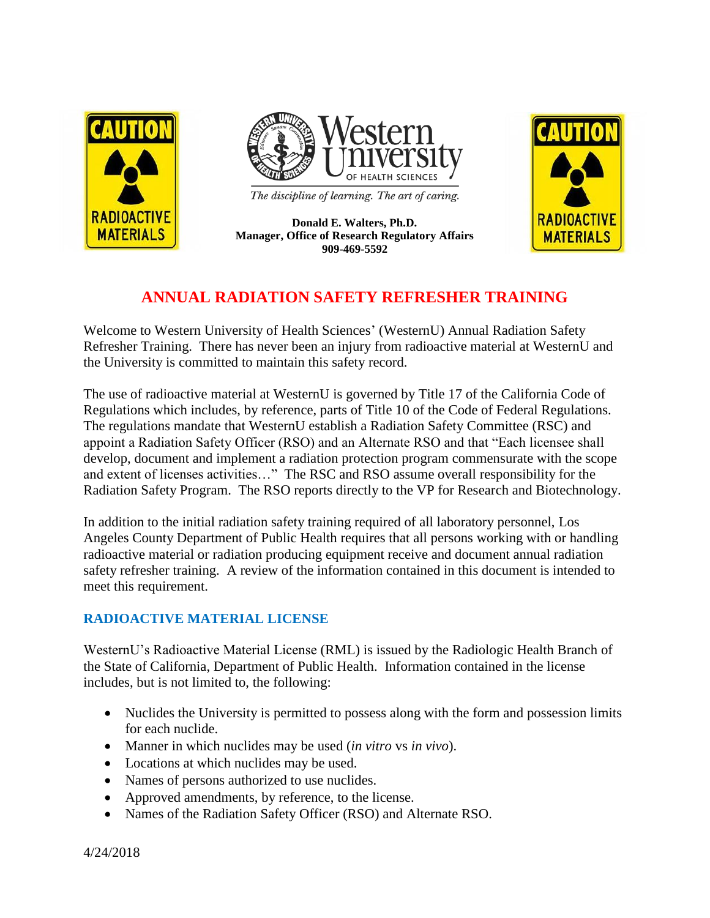



The discipline of learning. The art of caring.

**Donald E. Walters, Ph.D. Manager, Office of Research Regulatory Affairs 909-469-5592**



# **ANNUAL RADIATION SAFETY REFRESHER TRAINING**

Welcome to Western University of Health Sciences' (WesternU) Annual Radiation Safety Refresher Training. There has never been an injury from radioactive material at WesternU and the University is committed to maintain this safety record.

The use of radioactive material at WesternU is governed by Title 17 of the California Code of Regulations which includes, by reference, parts of Title 10 of the Code of Federal Regulations. The regulations mandate that WesternU establish a Radiation Safety Committee (RSC) and appoint a Radiation Safety Officer (RSO) and an Alternate RSO and that "Each licensee shall develop, document and implement a radiation protection program commensurate with the scope and extent of licenses activities…" The RSC and RSO assume overall responsibility for the Radiation Safety Program. The RSO reports directly to the VP for Research and Biotechnology.

In addition to the initial radiation safety training required of all laboratory personnel, Los Angeles County Department of Public Health requires that all persons working with or handling radioactive material or radiation producing equipment receive and document annual radiation safety refresher training. A review of the information contained in this document is intended to meet this requirement.

## **RADIOACTIVE MATERIAL LICENSE**

WesternU's Radioactive Material License (RML) is issued by the Radiologic Health Branch of the State of California, Department of Public Health. Information contained in the license includes, but is not limited to, the following:

- Nuclides the University is permitted to possess along with the form and possession limits for each nuclide.
- Manner in which nuclides may be used (*in vitro* vs *in vivo*).
- Locations at which nuclides may be used.
- Names of persons authorized to use nuclides.
- Approved amendments, by reference, to the license.
- Names of the Radiation Safety Officer (RSO) and Alternate RSO.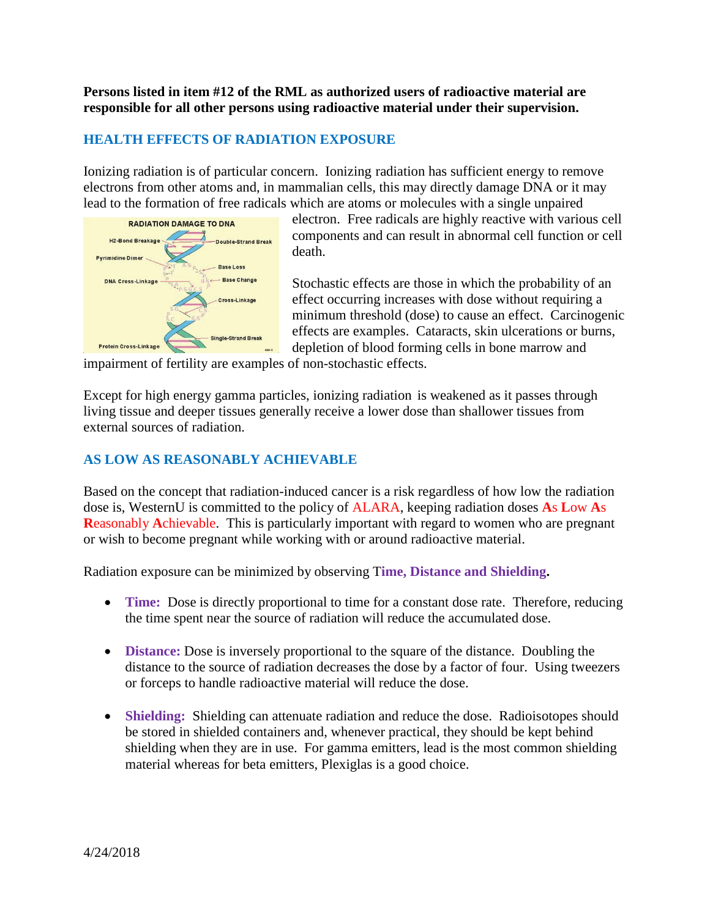**Persons listed in item #12 of the RML as authorized users of radioactive material are responsible for all other persons using radioactive material under their supervision.**

#### **HEALTH EFFECTS OF RADIATION EXPOSURE**

Ionizing radiation is of particular concern. Ionizing radiation has sufficient energy to remove electrons from other atoms and, in mammalian cells, this may directly damage DNA or it may lead to the formation of free radicals which are atoms or molecules with a single unpaired



electron. Free radicals are highly reactive with various cell components and can result in abnormal cell function or cell death.

Stochastic effects are those in which the probability of an effect occurring increases with dose without requiring a minimum threshold (dose) to cause an effect. Carcinogenic effects are examples. Cataracts, skin ulcerations or burns, depletion of blood forming cells in bone marrow and

impairment of fertility are examples of non-stochastic effects.

Except for high energy gamma particles, ionizing radiation is weakened as it passes through living tissue and deeper tissues generally receive a lower dose than shallower tissues from external sources of radiation.

#### **AS LOW AS REASONABLY ACHIEVABLE**

Based on the concept that radiation-induced cancer is a risk regardless of how low the radiation dose is, WesternU is committed to the policy of ALARA, keeping radiation doses **A**s **L**ow **A**s **R**easonably **A**chievable. This is particularly important with regard to women who are pregnant or wish to become pregnant while working with or around radioactive material.

Radiation exposure can be minimized by observing T**ime, Distance and Shielding.**

- **Time:** Dose is directly proportional to time for a constant dose rate. Therefore, reducing the time spent near the source of radiation will reduce the accumulated dose.
- **Distance:** Dose is inversely proportional to the square of the distance. Doubling the distance to the source of radiation decreases the dose by a factor of four. Using tweezers or forceps to handle radioactive material will reduce the dose.
- **Shielding:** Shielding can attenuate radiation and reduce the dose. Radioisotopes should be stored in shielded containers and, whenever practical, they should be kept behind shielding when they are in use. For gamma emitters, lead is the most common shielding material whereas for beta emitters, Plexiglas is a good choice.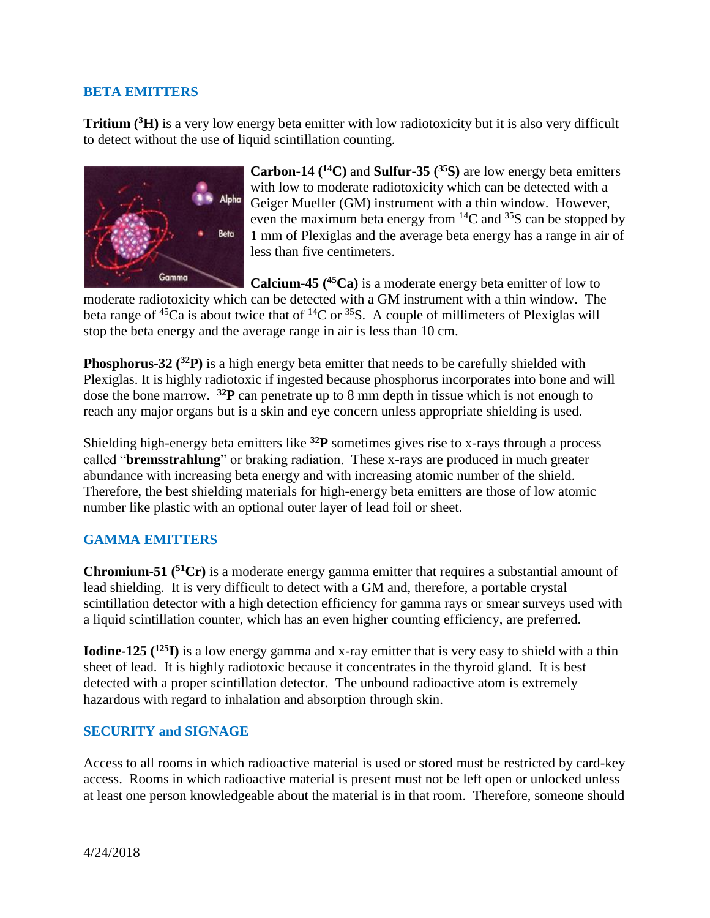#### **BETA EMITTERS**

**Tritium ( <sup>3</sup>H)** is a very low energy beta emitter with low radiotoxicity but it is also very difficult to detect without the use of liquid scintillation counting.



**Carbon-14 (<sup>14</sup>C)** and **Sulfur-35 (<sup>35</sup>S)** are low energy beta emitters with low to moderate radiotoxicity which can be detected with a Geiger Mueller (GM) instrument with a thin window. However, even the maximum beta energy from  ${}^{14}C$  and  ${}^{35}S$  can be stopped by 1 mm of Plexiglas and the average beta energy has a range in air of less than five centimeters.

**Calcium-45 (<sup>45</sup>Ca)** is a moderate energy beta emitter of low to moderate radiotoxicity which can be detected with a GM instrument with a thin window. The beta range of <sup>45</sup>Ca is about twice that of <sup>14</sup>C or <sup>35</sup>S. A couple of millimeters of Plexiglas will stop the beta energy and the average range in air is less than 10 cm.

**Phosphorus-32 (<sup>32</sup>P)** is a high energy beta emitter that needs to be carefully shielded with Plexiglas. It is highly radiotoxic if ingested because phosphorus incorporates into bone and will dose the bone marrow. **<sup>32</sup>P** can penetrate up to 8 mm depth in tissue which is not enough to reach any major organs but is a skin and eye concern unless appropriate shielding is used.

Shielding high-energy beta emitters like **<sup>32</sup>P** sometimes gives rise to x-rays through a process called "**bremsstrahlung**" or braking radiation. These x-rays are produced in much greater abundance with increasing beta energy and with increasing atomic number of the shield. Therefore, the best shielding materials for high-energy beta emitters are those of low atomic number like plastic with an optional outer layer of lead foil or sheet.

#### **GAMMA EMITTERS**

**Chromium-51 (<sup>51</sup>Cr)** is a moderate energy gamma emitter that requires a substantial amount of lead shielding. It is very difficult to detect with a GM and, therefore, a portable crystal scintillation detector with a high detection efficiency for gamma rays or smear surveys used with a liquid scintillation counter, which has an even higher counting efficiency, are preferred.

**Iodine-125 (<sup>125</sup>I)** is a low energy gamma and x-ray emitter that is very easy to shield with a thin sheet of lead. It is highly radiotoxic because it concentrates in the thyroid gland. It is best detected with a proper scintillation detector. The unbound radioactive atom is extremely hazardous with regard to inhalation and absorption through skin.

#### **SECURITY and SIGNAGE**

Access to all rooms in which radioactive material is used or stored must be restricted by card-key access. Rooms in which radioactive material is present must not be left open or unlocked unless at least one person knowledgeable about the material is in that room. Therefore, someone should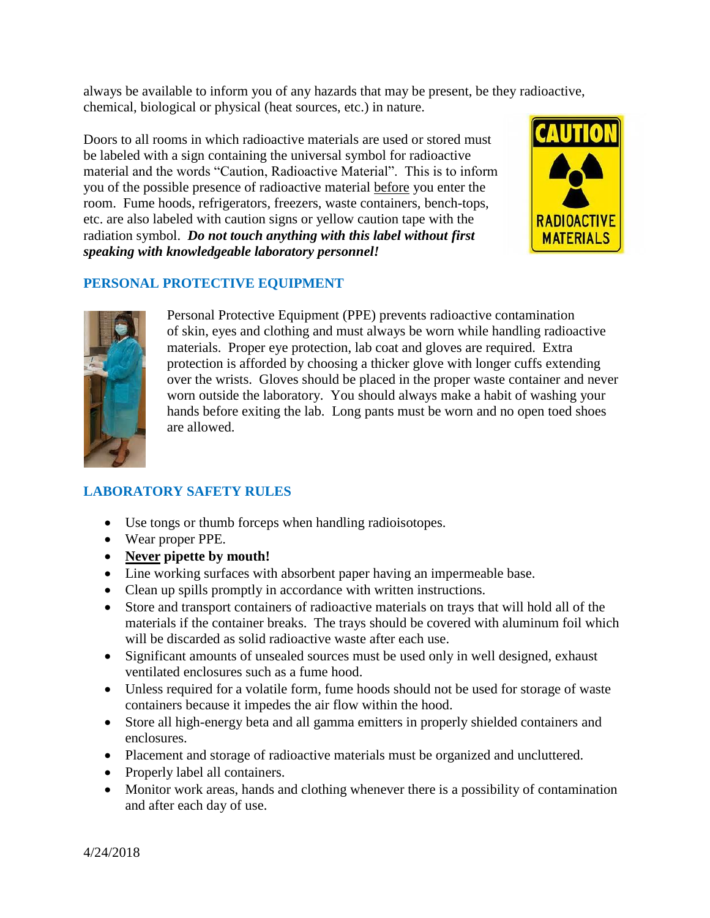always be available to inform you of any hazards that may be present, be they radioactive, chemical, biological or physical (heat sources, etc.) in nature.

Doors to all rooms in which radioactive materials are used or stored must be labeled with a sign containing the universal symbol for radioactive material and the words "Caution, Radioactive Material". This is to inform you of the possible presence of radioactive material before you enter the room. Fume hoods, refrigerators, freezers, waste containers, bench-tops, etc. are also labeled with caution signs or yellow caution tape with the radiation symbol. *Do not touch anything with this label without first speaking with knowledgeable laboratory personnel!*



### **PERSONAL PROTECTIVE EQUIPMENT**



Personal Protective Equipment (PPE) prevents radioactive contamination of skin, eyes and clothing and must always be worn while handling radioactive materials. Proper eye protection, lab coat and gloves are required. Extra protection is afforded by choosing a thicker glove with longer cuffs extending over the wrists. Gloves should be placed in the proper waste container and never worn outside the laboratory. You should always make a habit of washing your hands before exiting the lab. Long pants must be worn and no open toed shoes are allowed.

## **LABORATORY SAFETY RULES**

- Use tongs or thumb forceps when handling radioisotopes.
- Wear proper PPE.
- **Never pipette by mouth!**
- Line working surfaces with absorbent paper having an impermeable base.
- Clean up spills promptly in accordance with written instructions.
- Store and transport containers of radioactive materials on trays that will hold all of the materials if the container breaks. The trays should be covered with aluminum foil which will be discarded as solid radioactive waste after each use.
- Significant amounts of unsealed sources must be used only in well designed, exhaust ventilated enclosures such as a fume hood.
- Unless required for a volatile form, fume hoods should not be used for storage of waste containers because it impedes the air flow within the hood.
- Store all high-energy beta and all gamma emitters in properly shielded containers and enclosures.
- Placement and storage of radioactive materials must be organized and uncluttered.
- Properly label all containers.
- Monitor work areas, hands and clothing whenever there is a possibility of contamination and after each day of use.